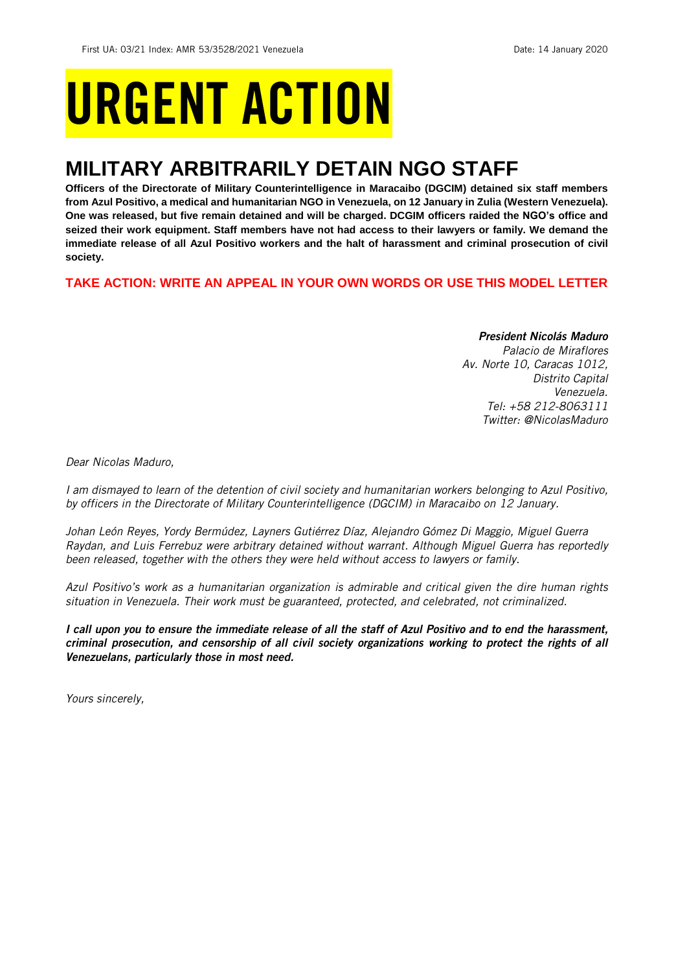# URGENT ACTION

## **MILITARY ARBITRARILY DETAIN NGO STAFF**

**Officers of the Directorate of Military Counterintelligence in Maracaibo (DGCIM) detained six staff members from Azul Positivo, a medical and humanitarian NGO in Venezuela, on 12 January in Zulia (Western Venezuela). One was released, but five remain detained and will be charged. DCGIM officers raided the NGO's office and seized their work equipment. Staff members have not had access to their lawyers or family. We demand the immediate release of all Azul Positivo workers and the halt of harassment and criminal prosecution of civil society.**

**TAKE ACTION: WRITE AN APPEAL IN YOUR OWN WORDS OR USE THIS MODEL LETTER**

## *President Nicolás Maduro*

*Palacio de Miraflores Av. Norte 10, Caracas 1012, Distrito Capital Venezuela. Tel: +58 212-8063111 Twitter: @NicolasMaduro*

*Dear Nicolas Maduro,*

*I am dismayed to learn of the detention of civil society and humanitarian workers belonging to Azul Positivo, by officers in the Directorate of Military Counterintelligence (DGCIM) in Maracaibo on 12 January.*

*Johan León Reyes, Yordy Bermúdez, Layners Gutiérrez Díaz, Alejandro Gómez Di Maggio, Miguel Guerra Raydan, and Luis Ferrebuz were arbitrary detained without warrant. Although Miguel Guerra has reportedly been released, together with the others they were held without access to lawyers or family.* 

*Azul Positivo's work as a humanitarian organization is admirable and critical given the dire human rights situation in Venezuela. Their work must be guaranteed, protected, and celebrated, not criminalized.*

*I call upon you to ensure the immediate release of all the staff of Azul Positivo and to end the harassment, criminal prosecution, and censorship of all civil society organizations working to protect the rights of all Venezuelans, particularly those in most need.*

*Yours sincerely,*